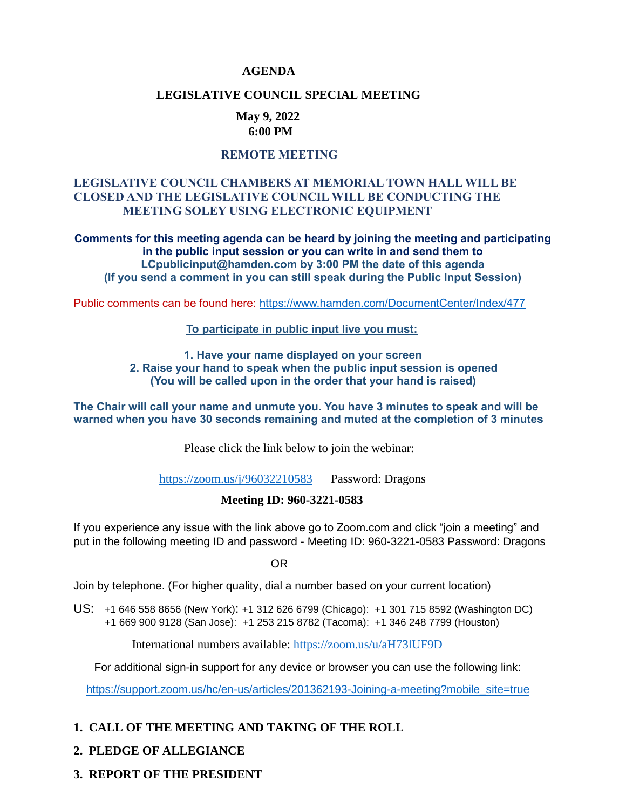### **AGENDA**

### **LEGISLATIVE COUNCIL SPECIAL MEETING**

### **May 9, 2022 6:00 PM**

# **REMOTE MEETING**

### **LEGISLATIVE COUNCIL CHAMBERS AT MEMORIAL TOWN HALL WILL BE CLOSED AND THE LEGISLATIVE COUNCIL WILL BE CONDUCTING THE MEETING SOLEY USING ELECTRONIC EQUIPMENT**

**Comments for this meeting agenda can be heard by joining the meeting and participating in the public input session or you can write in and send them to [LCpublicinput@hamden.com](mailto:LCpublicinput@hamden.com) by 3:00 PM the date of this agenda (If you send a comment in you can still speak during the Public Input Session)**

Public comments can be found here:<https://www.hamden.com/DocumentCenter/Index/477>

#### **To participate in public input live you must:**

**1. Have your name displayed on your screen 2. Raise your hand to speak when the public input session is opened (You will be called upon in the order that your hand is raised)** 

**The Chair will call your name and unmute you. You have 3 minutes to speak and will be warned when you have 30 seconds remaining and muted at the completion of 3 minutes**

Please click the link below to join the webinar:

<https://zoom.us/j/96032210583>Password: Dragons

### **Meeting ID: 960-3221-0583**

If you experience any issue with the link above go to Zoom.com and click "join a meeting" and put in the following meeting ID and password - Meeting ID: 960-3221-0583 Password: Dragons

OR

Join by telephone. (For higher quality, dial a number based on your current location)

US: [+1 646 558 8656 \(New York\)](tel:+16465588656): [+1 312 626 6799 \(Chicago\):](tel:+13126266799) [+1 301 715 8592 \(Washington DC\)](tel:+13017158592) +1 669 900 9128 (San Jose): [+1 253 215 8782 \(Tacoma\):](tel:+12532158782) [+1 346 248 7799 \(Houston\)](tel:+13462487799)

International numbers available:<https://zoom.us/u/aH73lUF9D>

For additional sign-in support for any device or browser you can use the following link:

[https://support.zoom.us/hc/en-us/articles/201362193-Joining-a-meeting?mobile\\_site=true](https://support.zoom.us/hc/en-us/articles/201362193-Joining-a-meeting?mobile_site=true)

### **1. CALL OF THE MEETING AND TAKING OF THE ROLL**

- **2. PLEDGE OF ALLEGIANCE**
- **3. REPORT OF THE PRESIDENT**